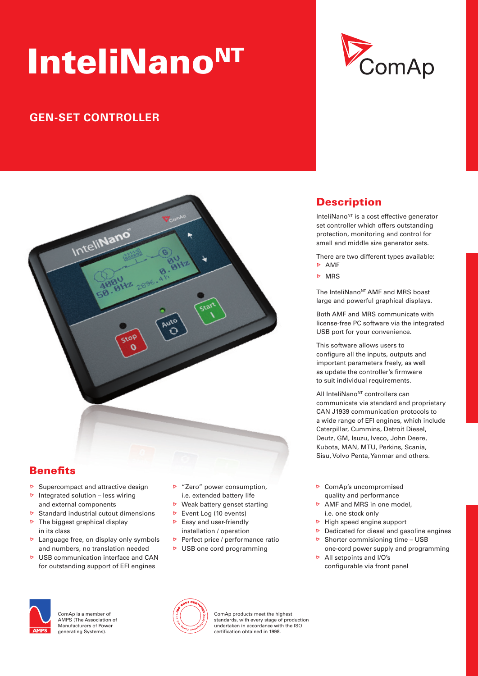# InteliNano<sup>NT</sup>

# **GEN-SET CONTROLLER**



## **Benefits**

- $\triangleright$  Supercompact and attractive design
- $\triangleright$  Integrated solution less wiring and external components
- $\triangleright$  Standard industrial cutout dimensions
- $\triangleright$  The biggest graphical display in its class
- $\triangleright$  Language free, on display only symbols and numbers, no translation needed
- $\triangleright$  LISB communication interface and CAN for outstanding support of EFI engines
- ▶ "Zero" power consumption, i.e. extended battery life
- $\triangleright$  Weak battery genset starting
- **Event Log (10 events)**
- $\triangleright$  Easy and user-friendly
- installation / operation
- Perfect price / performance ratio
- $\triangleright$  USB one cord programming



## **Description**

InteliNano<sup>NT</sup> is a cost effective generator set controller which offers outstanding protection, monitoring and control for small and middle size generator sets.

There are two different types available:

 AMF **D** MRS

The InteliNano<sup>NT</sup> AMF and MRS boast large and powerful graphical displays.

both AMF and MRs communicate with license-free PC software via the integrated USB port for your convenience.

This software allows users to configure all the inputs, outputs and important parameters freely, as well as update the controller's firmware to suit individual requirements.

All InteliNano<sup>NT</sup> controllers can communicate via standard and proprietary CAN J1939 communication protocols to a wide range of EFI engines, which include Caterpillar, Cummins, Detroit Diesel, Deutz, GM, Isuzu, Iveco, John Deere, Kubota, MAN, MTU, Perkins, Scania, sisu, Volvo Penta, Yanmar and others.

- **D** ComAp's uncompromised quality and performance
- $\triangleright$  AMF and MRS in one model, i.e. one stock only
- $\triangleright$  High speed engine support
- $\triangleright$  Dedicated for diesel and gasoline engines
- $\triangleright$  Shorter commisioning time USB
- one-cord power supply and programming **D** All setpoints and I/O's
- configurable via front panel



ComAn is a member of AMPS (The Association of Manufacturers of Power generating Systems).



ComAp products meet the highest standards, with every stage of production undertaken in accordance with the IsO certifi cation obtained in 1998.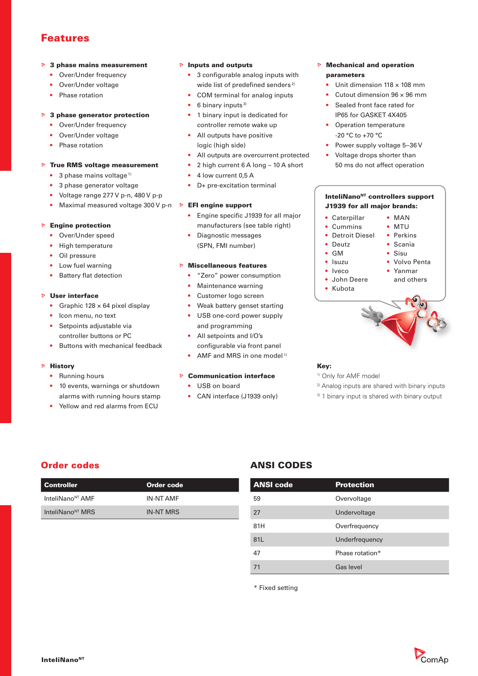## Features

#### $\triangleright$  3 phase mains measurement

- Over/Under frequency
- Over/Under voltage
- Phase rotation

#### $\triangleright$  3 phase generator protection

- Over/Under frequency
- Over/Under voltage
- Phase rotation

#### $\triangleright$  True RMS voltage measurement

- $\bullet$  3 phase mains voltage<sup>1)</sup>
- 3 phase generator voltage
- Voltage range 277 V p-n, 480 V p-p
- Maximal measured voltage 300 V p-n **> EFI engine support**

#### $\triangleright$  Engine protection

- Over/Under speed
- High temperature
- Oil pressure
- Low fuel warning
- **Battery flat detection**

#### $\triangleright$  User interface

- Graphic  $128 \times 64$  pixel display
- Icon menu, no text
- Setpoints adjustable via controller buttons or PC
- Buttons with mechanical feedback

#### $\triangleright$  History

- Running hours
- 10 events, warnings or shutdown alarms with running hours stamp
- Yellow and red alarms from ECU

#### $\triangleright$  Inputs and outputs

- $\bullet$  3 configurable analog inputs with wide list of predefined senders<sup>2)</sup>
- COM terminal for analog inputs
- 6 binary inputs $3$ )
- 1 binary input is dedicated for controller remote wake up
- All outputs have positive logic (high side)
- All outputs are overcurrent protected
- 2 high current 6 A long 10 A short
- 4 low current 0,5 A
- D+ pre-excitation terminal

- Engine specific J1939 for all major manufacturers (see table right)
- Diagnostic messages (sPN, FMI number)

#### $\triangleright$  Miscellaneous features

- "Zero" power consumption
- Maintenance warning
- Customer logo screen
- Weak battery genset starting
- USB one-cord power supply and programming
- All setpoints and I/O's configurable via front panel
- AMF and MRS in one model<sup>1)</sup>

#### $\triangleright$  Communication interface

- USB on board
- CAN interface (J1939 only)

#### $\triangleright$  Mechanical and operation parameters

- Unit dimension  $118 \times 108$  mm
- Cutout dimension 96 × 96 mm
- Sealed front face rated for IP65 for GASKET 4X405
- Operation temperature -20 °C to +70 °C
- Power supply voltage 5-36 V
- Voltage drops shorter than 50 ms do not affect operation

#### InteliNano<sup>NT</sup> controllers support J1939 for all major brands:



#### Key:

- 1) Only for AMF model
- 2) Analog inputs are shared with binary inputs
- <sup>3)</sup> 1 binary input is shared with binary output

| Controller                   | Order code       |
|------------------------------|------------------|
| InteliNano <sup>NT</sup> AMF | <b>IN-NT AMF</b> |
| InteliNano <sup>NT</sup> MRS | <b>IN-NT MRS</b> |

## Order codes **ANSI CODES**

| <b>ANSI code</b> | <b>Protection</b> |
|------------------|-------------------|
| 59               | Overvoltage       |
| 27               | Undervoltage      |
| 81H              | Overfrequency     |
| 81L              | Underfrequency    |
| 47               | Phase rotation*   |
| 71               | Gas level         |

\* Fixed setting

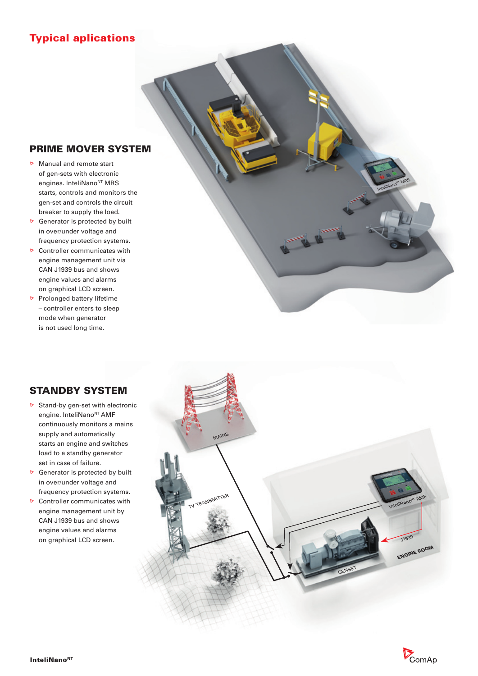## Typical aplications

## PRIME MOVER SYSTEM

- Manual and remote start of gen-sets with electronic engines. InteliNano<sup>NT</sup> MRS starts, controls and monitors the gen-set and controls the circuit breaker to supply the load.
- $\triangleright$  Generator is protected by built in over/under voltage and frequency protection systems.
- **D** Controller communicates with engine management unit via CAN J1939 bus and shows engine values and alarms on graphical LCD screen.
- $\triangleright$  Prolonged battery lifetime – controller enters to sleep mode when generator is not used long time.



engine. InteliNano<sup>NT</sup> AMF

supply and automatically

in over/under voltage and

CAN J1939 bus and shows engine values and alarms on graphical LCD screen.

set in case of failure.



InteliNano<sup>w</sup> MRS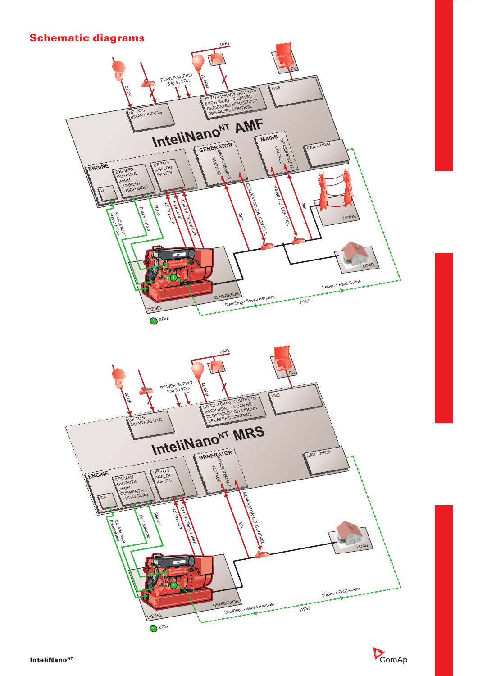

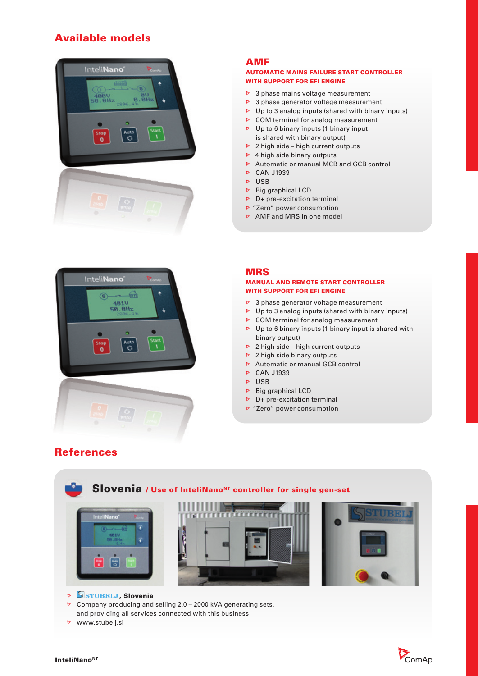## Available models



### AMF

#### AUTOMATIC MAINS FAILURE START CONTROLLER WITH SUPPORT FOR EFI ENGINE

- $\triangleright$  3 phase mains voltage measurement
- $\triangleright$  3 phase generator voltage measurement
- $\triangleright$  Up to 3 analog inputs (shared with binary inputs)
- $\triangleright$  COM terminal for analog measurement
- $\triangleright$  Up to 6 binary inputs (1 binary input is shared with binary output)
- $\triangleright$  2 high side high current outputs
- $\triangleright$  4 high side binary outputs
- $\triangleright$  Automatic or manual MCB and GCB control
- **D** CAN J1939
- $\nabla$  USB
- $\triangleright$  Big graphical LCD
- $\triangleright$  D+ pre-excitation terminal
- "Zero" power consumption
- AMF and MRS in one model



#### MRS MANUAL AND REMOTE START CONTROLLER

- WITH SUPPORT FOR EFI ENGINE
- $\triangleright$  3 phase generator voltage measurement
- $\triangleright$  Up to 3 analog inputs (shared with binary inputs)
- $\triangleright$  COM terminal for analog measurement
- $\triangleright$  Up to 6 binary inputs (1 binary input is shared with binary output)
- $\triangleright$  2 high side high current outputs
- $\triangleright$  2 high side binary outputs
- $\triangleright$  Automatic or manual GCB control
- **D** CAN J1939
- $\triangleright$  USB
- $\triangleright$  Big graphical LCD
- $\triangleright$  D+ pre-excitation terminal
- "Zero" power consumption



- **SSTUBELJ**, Slovenia
- $\triangleright$  Company producing and selling 2.0 2000 kVA generating sets, and providing all services connected with this business
- **D** www.stubelj.si



## **References**